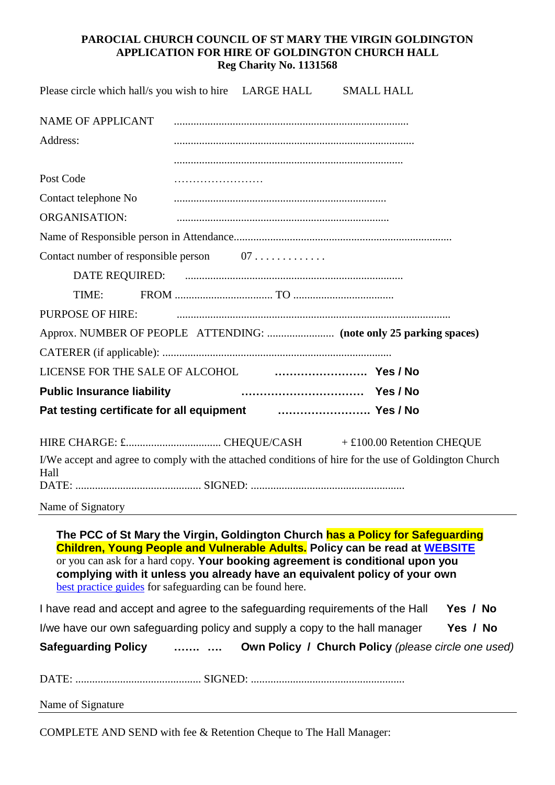### **PAROCIAL CHURCH COUNCIL OF ST MARY THE VIRGIN GOLDINGTON APPLICATION FOR HIRE OF GOLDINGTON CHURCH HALL Reg Charity No. 1131568**

| Please circle which hall/s you wish to hire LARGE HALL                                                                                                                                                                                          |  | <b>SMALL HALL</b> |  |
|-------------------------------------------------------------------------------------------------------------------------------------------------------------------------------------------------------------------------------------------------|--|-------------------|--|
| NAME OF APPLICANT                                                                                                                                                                                                                               |  |                   |  |
| Address:                                                                                                                                                                                                                                        |  |                   |  |
|                                                                                                                                                                                                                                                 |  |                   |  |
| Post Code                                                                                                                                                                                                                                       |  |                   |  |
| Contact telephone No                                                                                                                                                                                                                            |  |                   |  |
| <b>ORGANISATION:</b>                                                                                                                                                                                                                            |  |                   |  |
|                                                                                                                                                                                                                                                 |  |                   |  |
| Contact number of responsible person 07                                                                                                                                                                                                         |  |                   |  |
|                                                                                                                                                                                                                                                 |  |                   |  |
| TIME:                                                                                                                                                                                                                                           |  |                   |  |
| <b>PURPOSE OF HIRE:</b>                                                                                                                                                                                                                         |  |                   |  |
|                                                                                                                                                                                                                                                 |  |                   |  |
|                                                                                                                                                                                                                                                 |  |                   |  |
| LICENSE FOR THE SALE OF ALCOHOL <b>FOR LICENSE FOR THE SALE OF ALCOHOL</b>                                                                                                                                                                      |  |                   |  |
| <b>Public Insurance liability</b>                                                                                                                                                                                                               |  |                   |  |
| Pat testing certificate for all equipment <b>container the State State Pat</b> Fes / No                                                                                                                                                         |  |                   |  |
|                                                                                                                                                                                                                                                 |  |                   |  |
| I/We accept and agree to comply with the attached conditions of hire for the use of Goldington Church<br>Hall                                                                                                                                   |  |                   |  |
|                                                                                                                                                                                                                                                 |  |                   |  |
|                                                                                                                                                                                                                                                 |  |                   |  |
| The PCC of St Mary the Virgin, Goldington Church has a Policy for Safeguarding<br>Children, Young People and Vulnerable Adults. Policy can be read at WEBSITE<br>or you can ask for a hard copy. Your booking agreement is conditional upon you |  |                   |  |

**complying with it unless you already have an equivalent policy of your own** [best practice guides](https://www.stmarygoldington.org.uk/What) for safeguarding can be found here.

| I have read and accept and agree to the safeguarding requirements of the Hall Yes / No |  |  |  |  |
|----------------------------------------------------------------------------------------|--|--|--|--|
|----------------------------------------------------------------------------------------|--|--|--|--|

I/we have our own safeguarding policy and supply a copy to the hall manager **Yes / No**

| <b>Safeguarding Policy</b><br>. | Own Policy / Church Policy (please circle one used) |
|---------------------------------|-----------------------------------------------------|
|---------------------------------|-----------------------------------------------------|

DATE: ............................................. SIGNED: .......................................................

Name of Signature

COMPLETE AND SEND with fee & Retention Cheque to The Hall Manager: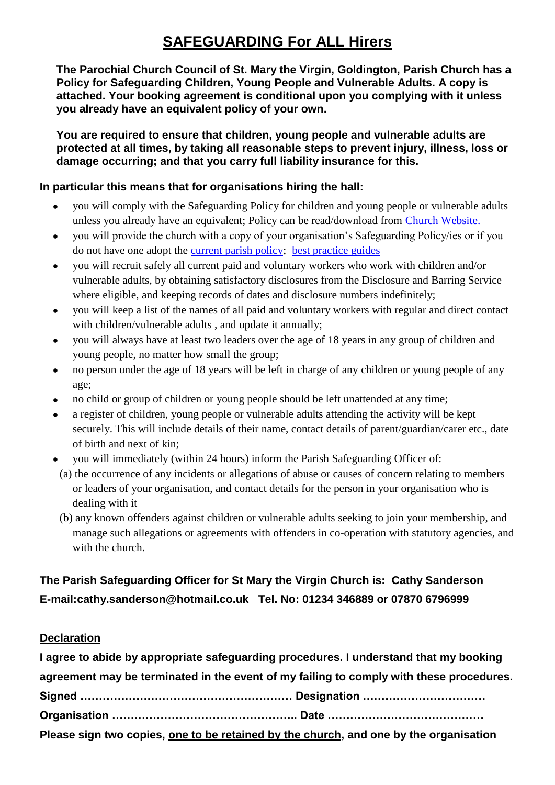# **SAFEGUARDING For ALL Hirers**

**The Parochial Church Council of St. Mary the Virgin, Goldington, Parish Church has a Policy for Safeguarding Children, Young People and Vulnerable Adults. A copy is attached. Your booking agreement is conditional upon you complying with it unless you already have an equivalent policy of your own.**

**You are required to ensure that children, young people and vulnerable adults are protected at all times, by taking all reasonable steps to prevent injury, illness, loss or damage occurring; and that you carry full liability insurance for this.**

# **In particular this means that for organisations hiring the hall:**

- you will comply with the Safeguarding Policy for children and young people or vulnerable adults unless you already have an equivalent; Policy can be read/download from [Church Website.](../../Safeguarding/Promoting%20a%20safe%20church.doc)
- you will provide the church with a copy of your organisation's Safeguarding Policy/ies or if you do not have one adopt the [current parish policy;](https://www.stmarygoldington.org.uk/cofe-policy-statement%20Promoting%20a%20Safer%20Church%20Policy%20Statement.pdf) [best practice guides](https://www.stmarygoldington.org.uk/What)
- you will recruit safely all current paid and voluntary workers who work with children and/or vulnerable adults, by obtaining satisfactory disclosures from the Disclosure and Barring Service where eligible, and keeping records of dates and disclosure numbers indefinitely;
- you will keep a list of the names of all paid and voluntary workers with regular and direct contact with children/vulnerable adults , and update it annually;
- you will always have at least two leaders over the age of 18 years in any group of children and young people, no matter how small the group;
- no person under the age of 18 years will be left in charge of any children or young people of any age;
- no child or group of children or young people should be left unattended at any time;
- a register of children, young people or vulnerable adults attending the activity will be kept securely. This will include details of their name, contact details of parent/guardian/carer etc., date of birth and next of kin;
- you will immediately (within 24 hours) inform the Parish Safeguarding Officer of:
- (a) the occurrence of any incidents or allegations of abuse or causes of concern relating to members or leaders of your organisation, and contact details for the person in your organisation who is dealing with it
- (b) any known offenders against children or vulnerable adults seeking to join your membership, and manage such allegations or agreements with offenders in co-operation with statutory agencies, and with the church.

# **The Parish Safeguarding Officer for St Mary the Virgin Church is: Cathy Sanderson E-mail:cathy.sanderson@hotmail.co.uk Tel. No: 01234 346889 or 07870 6796999**

# **Declaration**

| I agree to abide by appropriate safeguarding procedures. I understand that my booking   |  |  |  |  |
|-----------------------------------------------------------------------------------------|--|--|--|--|
| agreement may be terminated in the event of my failing to comply with these procedures. |  |  |  |  |
|                                                                                         |  |  |  |  |
|                                                                                         |  |  |  |  |
| Please sign two copies, one to be retained by the church, and one by the organisation   |  |  |  |  |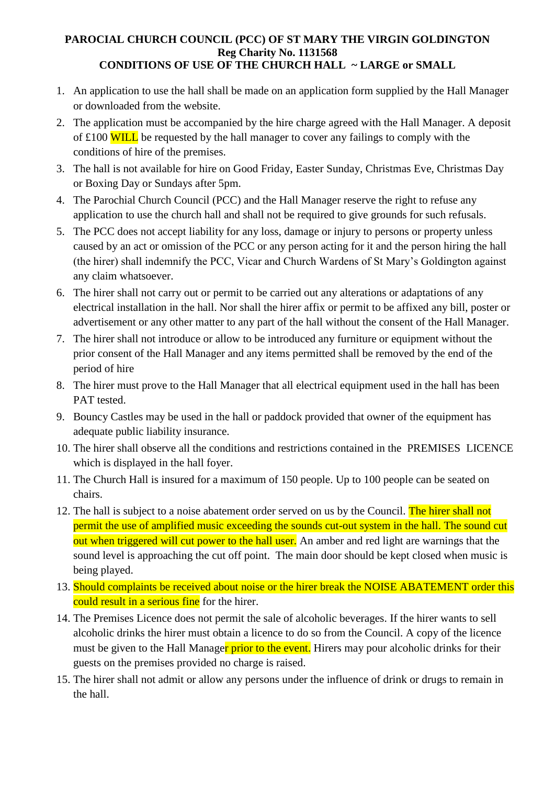#### **PAROCIAL CHURCH COUNCIL (PCC) OF ST MARY THE VIRGIN GOLDINGTON Reg Charity No. 1131568 CONDITIONS OF USE OF THE CHURCH HALL ~ LARGE or SMALL**

- 1. An application to use the hall shall be made on an application form supplied by the Hall Manager or downloaded from the website.
- 2. The application must be accompanied by the hire charge agreed with the Hall Manager. A deposit of  $\pounds100$  WILL be requested by the hall manager to cover any failings to comply with the conditions of hire of the premises.
- 3. The hall is not available for hire on Good Friday, Easter Sunday, Christmas Eve, Christmas Day or Boxing Day or Sundays after 5pm.
- 4. The Parochial Church Council (PCC) and the Hall Manager reserve the right to refuse any application to use the church hall and shall not be required to give grounds for such refusals.
- 5. The PCC does not accept liability for any loss, damage or injury to persons or property unless caused by an act or omission of the PCC or any person acting for it and the person hiring the hall (the hirer) shall indemnify the PCC, Vicar and Church Wardens of St Mary's Goldington against any claim whatsoever.
- 6. The hirer shall not carry out or permit to be carried out any alterations or adaptations of any electrical installation in the hall. Nor shall the hirer affix or permit to be affixed any bill, poster or advertisement or any other matter to any part of the hall without the consent of the Hall Manager.
- 7. The hirer shall not introduce or allow to be introduced any furniture or equipment without the prior consent of the Hall Manager and any items permitted shall be removed by the end of the period of hire
- 8. The hirer must prove to the Hall Manager that all electrical equipment used in the hall has been PAT tested.
- 9. Bouncy Castles may be used in the hall or paddock provided that owner of the equipment has adequate public liability insurance.
- 10. The hirer shall observe all the conditions and restrictions contained in the PREMISES LICENCE which is displayed in the hall foyer.
- 11. The Church Hall is insured for a maximum of 150 people. Up to 100 people can be seated on chairs.
- 12. The hall is subject to a noise abatement order served on us by the Council. The hirer shall not permit the use of amplified music exceeding the sounds cut-out system in the hall. The sound cut out when triggered will cut power to the hall user. An amber and red light are warnings that the sound level is approaching the cut off point. The main door should be kept closed when music is being played.
- 13. Should complaints be received about noise or the hirer break the NOISE ABATEMENT order this could result in a serious fine for the hirer.
- 14. The Premises Licence does not permit the sale of alcoholic beverages. If the hirer wants to sell alcoholic drinks the hirer must obtain a licence to do so from the Council. A copy of the licence must be given to the Hall Manager prior to the event. Hirers may pour alcoholic drinks for their guests on the premises provided no charge is raised.
- 15. The hirer shall not admit or allow any persons under the influence of drink or drugs to remain in the hall.